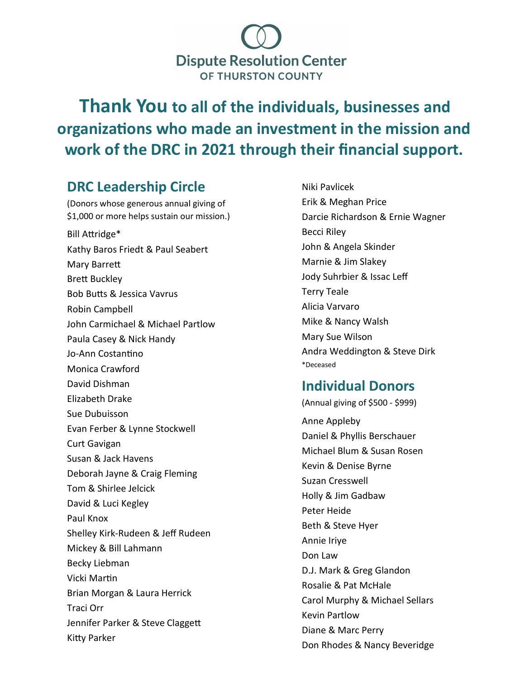

**Thank You to all of the individuals, businesses and organizations who made an investment in the mission and work of the DRC in 2021 through their financial support.** 

# **DRC Leadership Circle**

(Donors whose generous annual giving of \$1,000 or more helps sustain our mission.) Bill Attridge\* Kathy Baros Friedt & Paul Seabert Mary Barrett Brett Buckley Bob Butts & Jessica Vavrus Robin Campbell John Carmichael & Michael Partlow Paula Casey & Nick Handy Jo-Ann Costantino Monica Crawford David Dishman Elizabeth Drake Sue Dubuisson Evan Ferber & Lynne Stockwell Curt Gavigan Susan & Jack Havens Deborah Jayne & Craig Fleming Tom & Shirlee Jelcick David & Luci Kegley Paul Knox Shelley Kirk-Rudeen & Jeff Rudeen Mickey & Bill Lahmann Becky Liebman Vicki Martin Brian Morgan & Laura Herrick Traci Orr Jennifer Parker & Steve Claggett Kitty Parker

Niki Pavlicek Erik & Meghan Price Darcie Richardson & Ernie Wagner Becci Riley John & Angela Skinder Marnie & Jim Slakey Jody Suhrbier & Issac Leff Terry Teale Alicia Varvaro Mike & Nancy Walsh Mary Sue Wilson Andra Weddington & Steve Dirk \*Deceased

## **Individual Donors**

(Annual giving of \$500 - \$999) Anne Appleby Daniel & Phyllis Berschauer Michael Blum & Susan Rosen Kevin & Denise Byrne Suzan Cresswell Holly & Jim Gadbaw Peter Heide Beth & Steve Hyer Annie Iriye Don Law D.J. Mark & Greg Glandon Rosalie & Pat McHale Carol Murphy & Michael Sellars Kevin Partlow Diane & Marc Perry Don Rhodes & Nancy Beveridge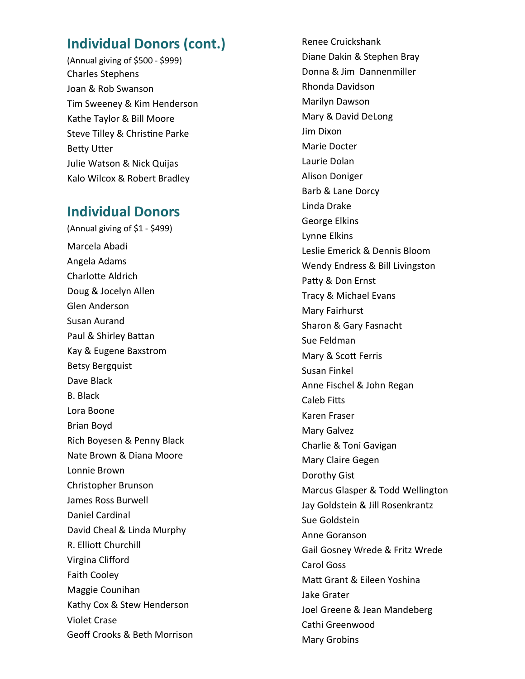### **Individual Donors (cont.)**

(Annual giving of \$500 - \$999) Charles Stephens Joan & Rob Swanson Tim Sweeney & Kim Henderson Kathe Taylor & Bill Moore Steve Tilley & Christine Parke Betty Utter Julie Watson & Nick Quijas Kalo Wilcox & Robert Bradley

#### **Individual Donors**

(Annual giving of \$1 - \$499) Marcela Abadi Angela Adams Charlotte Aldrich Doug & Jocelyn Allen Glen Anderson Susan Aurand Paul & Shirley Battan Kay & Eugene Baxstrom Betsy Bergquist Dave Black B. Black Lora Boone Brian Boyd Rich Boyesen & Penny Black Nate Brown & Diana Moore Lonnie Brown Christopher Brunson James Ross Burwell Daniel Cardinal David Cheal & Linda Murphy R. Elliott Churchill Virgina Clifford Faith Cooley Maggie Counihan Kathy Cox & Stew Henderson Violet Crase Geoff Crooks & Beth Morrison Renee Cruickshank Diane Dakin & Stephen Bray Donna & Jim Dannenmiller Rhonda Davidson Marilyn Dawson Mary & David DeLong Jim Dixon Marie Docter Laurie Dolan Alison Doniger Barb & Lane Dorcy Linda Drake George Elkins Lynne Elkins Leslie Emerick & Dennis Bloom Wendy Endress & Bill Livingston Patty & Don Ernst Tracy & Michael Evans Mary Fairhurst Sharon & Gary Fasnacht Sue Feldman Mary & Scott Ferris Susan Finkel Anne Fischel & John Regan Caleb Fitts Karen Fraser Mary Galvez Charlie & Toni Gavigan Mary Claire Gegen Dorothy Gist Marcus Glasper & Todd Wellington Jay Goldstein & Jill Rosenkrantz Sue Goldstein Anne Goranson Gail Gosney Wrede & Fritz Wrede Carol Goss Matt Grant & Eileen Yoshina Jake Grater Joel Greene & Jean Mandeberg Cathi Greenwood Mary Grobins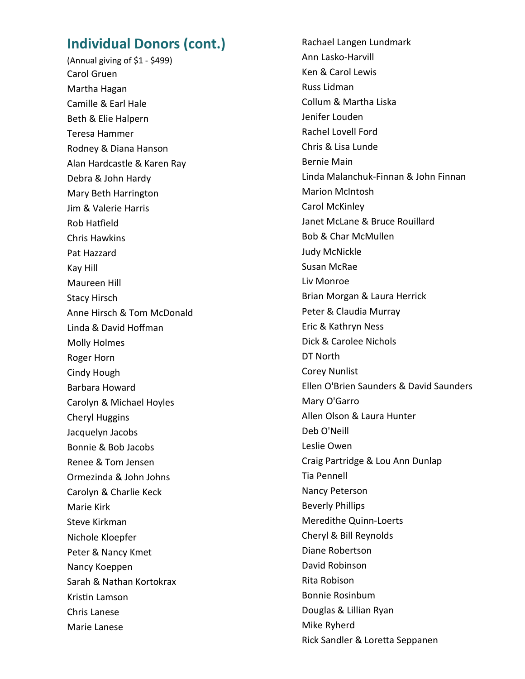#### **Individual Donors (cont.)**

(Annual giving of \$1 - \$499) Carol Gruen Martha Hagan Camille & Earl Hale Beth & Elie Halpern Teresa Hammer Rodney & Diana Hanson Alan Hardcastle & Karen Ray Debra & John Hardy Mary Beth Harrington Jim & Valerie Harris Rob Hatfield Chris Hawkins Pat Hazzard Kay Hill Maureen Hill Stacy Hirsch Anne Hirsch & Tom McDonald Linda & David Hoffman Molly Holmes Roger Horn Cindy Hough Barbara Howard Carolyn & Michael Hoyles Cheryl Huggins Jacquelyn Jacobs Bonnie & Bob Jacobs Renee & Tom Jensen Ormezinda & John Johns Carolyn & Charlie Keck Marie Kirk Steve Kirkman Nichole Kloepfer Peter & Nancy Kmet Nancy Koeppen Sarah & Nathan Kortokrax Kristin Lamson Chris Lanese Marie Lanese

Rachael Langen Lundmark Ann Lasko-Harvill Ken & Carol Lewis Russ Lidman Collum & Martha Liska Jenifer Louden Rachel Lovell Ford Chris & Lisa Lunde Bernie Main Linda Malanchuk-Finnan & John Finnan Marion McIntosh Carol McKinley Janet McLane & Bruce Rouillard Bob & Char McMullen Judy McNickle Susan McRae Liv Monroe Brian Morgan & Laura Herrick Peter & Claudia Murray Eric & Kathryn Ness Dick & Carolee Nichols DT North Corey Nunlist Ellen O'Brien Saunders & David Saunders Mary O'Garro Allen Olson & Laura Hunter Deb O'Neill Leslie Owen Craig Partridge & Lou Ann Dunlap Tia Pennell Nancy Peterson Beverly Phillips Meredithe Quinn-Loerts Cheryl & Bill Reynolds Diane Robertson David Robinson Rita Robison Bonnie Rosinbum Douglas & Lillian Ryan Mike Ryherd Rick Sandler & Loretta Seppanen